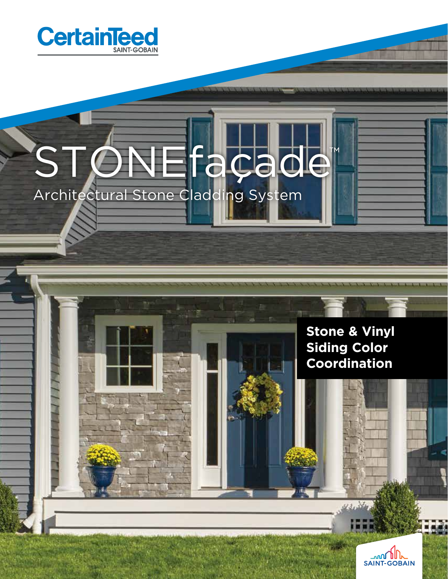

# STONEfaçade™ Architectural Stone Cladding System

### **Stone & Vinyl Siding Color Coordination**

 $43.34$ 

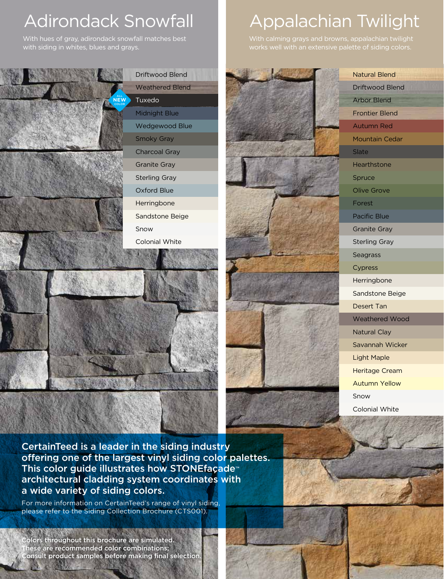# Adirondack Snowfall **Andrachian Twilight**

With hues of gray, adirondack snowfall matches best with siding in whites, blues and grays.

# ALL **NEW**COLOR







With calming grays and browns, appalachian twilight works well with an extensive palette of siding colors.

> Arbor Blend Frontier Blend Autumn Red Mountain Cedar Slate Hearthstone Spruce Olive Grove Forest Pacific Blue Granite Gray Sterling Gray **Seagrass** Cypress Herringbone Sandstone Beige Desert Tan Weathered Wood Natural Clay Savannah Wicker Light Maple Heritage Cream Autumn Yellow Snow

Natural Blend Driftwood Blend

Colonial White

CertainTeed is a leader in the siding industry offering one of the largest vinyl siding color palettes. This color guide illustrates how STONEfaçade™ architectural cladding system coordinates with a wide variety of siding colors.

For more information on CertainTeed's range of vinyl siding, please refer to the Siding Collection Brochure (CTS001).

olors throughout this brochure are simulated. hese are recommended color combinations; Consult product samples before making final selection.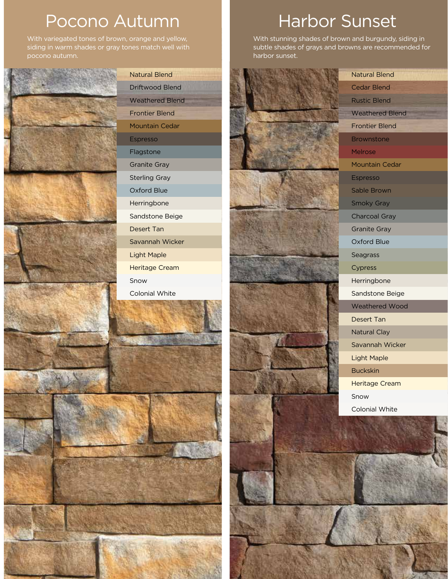## Pocono Autumn Harbor Sunset

With variegated tones of brown, orange and yellow, siding in warm shades or gray tones match well with pocono autumn.



With stunning shades of brown and burgundy, siding in subtle shades of grays and browns are recommended for harbor sunset.



Natural Blend Cedar Blend Rustic Blend Weathered Blend Frontier Blend **Brownstone** Melrose Mountain Cedar<br>Espresso Sable Brown Smoky Gray Charcoal Gray Granite Gray Oxford Blue **Seagrass** Cypress Herringbone Sandstone Beige Weathered Wood Desert Tan Natural Clay Savannah Wicker Light Maple Buckskin Heritage Cream Snow

Colonial White